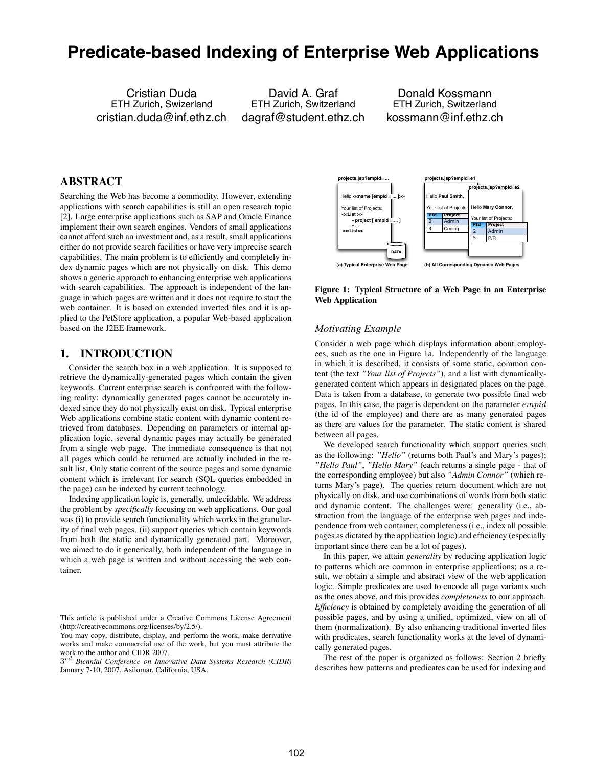# **Predicate-based Indexing of Enterprise Web Applications**

Cristian Duda ETH Zurich, Swizerland cristian.duda@inf.ethz.ch

David A. Graf ETH Zurich, Switzerland dagraf@student.ethz.ch

Donald Kossmann ETH Zurich, Switzerland kossmann@inf.ethz.ch

# **ABSTRACT**

Searching the Web has become a commodity. However, extending applications with search capabilities is still an open research topic [2]. Large enterprise applications such as SAP and Oracle Finance implement their own search engines. Vendors of small applications cannot afford such an investment and, as a result, small applications either do not provide search facilities or have very imprecise search capabilities. The main problem is to efficiently and completely index dynamic pages which are not physically on disk. This demo shows a generic approach to enhancing enterprise web applications with search capabilities. The approach is independent of the language in which pages are written and it does not require to start the web container. It is based on extended inverted files and it is applied to the PetStore application, a popular Web-based application based on the J2EE framework.

### **1. INTRODUCTION**

Consider the search box in a web application. It is supposed to retrieve the dynamically-generated pages which contain the given keywords. Current enterprise search is confronted with the following reality: dynamically generated pages cannot be accurately indexed since they do not physically exist on disk. Typical enterprise Web applications combine static content with dynamic content retrieved from databases. Depending on parameters or internal application logic, several dynamic pages may actually be generated from a single web page. The immediate consequence is that not all pages which could be returned are actually included in the result list. Only static content of the source pages and some dynamic content which is irrelevant for search (SQL queries embedded in the page) can be indexed by current technology.

Indexing application logic is, generally, undecidable. We address the problem by *specifically* focusing on web applications. Our goal was (i) to provide search functionality which works in the granularity of final web pages. (ii) support queries which contain keywords from both the static and dynamically generated part. Moreover, we aimed to do it generically, both independent of the language in which a web page is written and without accessing the web container.

3*rd Biennial Conference on Innovative Data Systems Research (CIDR)* January 7-10, 2007, Asilomar, California, USA.



**Figure 1: Typical Structure of a Web Page in an Enterprise Web Application**

#### *Motivating Example*

Consider a web page which displays information about employees, such as the one in Figure 1a. Independently of the language in which it is described, it consists of some static, common content (the text *"Your list of Projects"*), and a list with dynamicallygenerated content which appears in designated places on the page. Data is taken from a database, to generate two possible final web pages. In this case, the page is dependent on the parameter *empid* (the id of the employee) and there are as many generated pages as there are values for the parameter. The static content is shared between all pages.

We developed search functionality which support queries such as the following: *"Hello"* (returns both Paul's and Mary's pages); *"Hello Paul"*, *"Hello Mary"* (each returns a single page - that of the corresponding employee) but also *"Admin Connor"* (which returns Mary's page). The queries return document which are not physically on disk, and use combinations of words from both static and dynamic content. The challenges were: generality (i.e., abstraction from the language of the enterprise web pages and independence from web container, completeness (i.e., index all possible pages as dictated by the application logic) and efficiency (especially important since there can be a lot of pages).

In this paper, we attain *generality* by reducing application logic to patterns which are common in enterprise applications; as a result, we obtain a simple and abstract view of the web application logic. Simple predicates are used to encode all page variants such as the ones above, and this provides *completeness* to our approach. *Efficiency* is obtained by completely avoiding the generation of all possible pages, and by using a unified, optimized, view on all of them (normalization). By also enhancing traditional inverted files with predicates, search functionality works at the level of dynamically generated pages.

The rest of the paper is organized as follows: Section 2 briefly describes how patterns and predicates can be used for indexing and

This article is published under a Creative Commons License Agreement (http://creativecommons.org/licenses/by/2.5/).

You may copy, distribute, display, and perform the work, make derivative works and make commercial use of the work, but you must attribute the work to the author and CIDR 2007.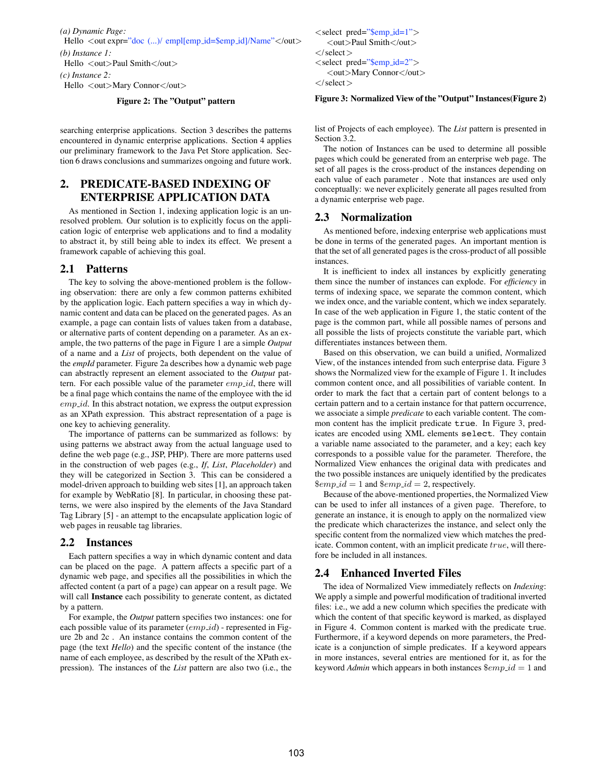*(a) Dynamic Page:* Hello *<*out expr="doc (...)/ empl[emp id=\$emp id]/Name"*<*/out*> (b) Instance 1:* Hello *<*out*>*Paul Smith*<*/out*>*

*(c) Instance 2:* Hello *<*out*>*Mary Connor*<*/out*>*

#### **Figure 2: The "Output" pattern**

searching enterprise applications. Section 3 describes the patterns encountered in dynamic enterprise applications. Section 4 applies our preliminary framework to the Java Pet Store application. Section 6 draws conclusions and summarizes ongoing and future work.

# **2. PREDICATE-BASED INDEXING OF ENTERPRISE APPLICATION DATA**

As mentioned in Section 1, indexing application logic is an unresolved problem. Our solution is to explicitly focus on the application logic of enterprise web applications and to find a modality to abstract it, by still being able to index its effect. We present a framework capable of achieving this goal.

### **2.1 Patterns**

The key to solving the above-mentioned problem is the following observation: there are only a few common patterns exhibited by the application logic. Each pattern specifies a way in which dynamic content and data can be placed on the generated pages. As an example, a page can contain lists of values taken from a database, or alternative parts of content depending on a parameter. As an example, the two patterns of the page in Figure 1 are a simple *Output* of a name and a *List* of projects, both dependent on the value of the *empId* parameter. Figure 2a describes how a dynamic web page can abstractly represent an element associated to the *Output* pattern. For each possible value of the parameter *emp id*, there will be a final page which contains the name of the employee with the id *emp id*. In this abstract notation, we express the output expression as an XPath expression. This abstract representation of a page is one key to achieving generality.

The importance of patterns can be summarized as follows: by using patterns we abstract away from the actual language used to define the web page (e.g., JSP, PHP). There are more patterns used in the construction of web pages (e.g., *If*, *List*, *Placeholder*) and they will be categorized in Section 3. This can be considered a model-driven approach to building web sites [1], an approach taken for example by WebRatio [8]. In particular, in choosing these patterns, we were also inspired by the elements of the Java Standard Tag Library [5] - an attempt to the encapsulate application logic of web pages in reusable tag libraries.

#### **2.2 Instances**

Each pattern specifies a way in which dynamic content and data can be placed on the page. A pattern affects a specific part of a dynamic web page, and specifies all the possibilities in which the affected content (a part of a page) can appear on a result page. We will call **Instance** each possibility to generate content, as dictated by a pattern.

For example, the *Output* pattern specifies two instances: one for each possible value of its parameter (*emp\_id*) - represented in Figure 2b and 2c . An instance contains the common content of the page (the text *Hello*) and the specific content of the instance (the name of each employee, as described by the result of the XPath expression). The instances of the *List* pattern are also two (i.e., the *<*select pred="\$emp id=1"*> <*out*>*Paul Smith*<*/out*> <*/select*> <*select pred="\$emp id=2"*> <*out*>*Mary Connor*<*/out*> <*/select*>*

#### **Figure 3: Normalized View of the "Output" Instances(Figure 2)**

list of Projects of each employee). The *List* pattern is presented in Section 3.2.

The notion of Instances can be used to determine all possible pages which could be generated from an enterprise web page. The set of all pages is the cross-product of the instances depending on each value of each parameter . Note that instances are used only conceptually: we never explicitely generate all pages resulted from a dynamic enterprise web page.

#### **2.3 Normalization**

As mentioned before, indexing enterprise web applications must be done in terms of the generated pages. An important mention is that the set of all generated pages is the cross-product of all possible instances.

It is inefficient to index all instances by explicitly generating them since the number of instances can explode. For *efficiency* in terms of indexing space, we separate the common content, which we index once, and the variable content, which we index separately. In case of the web application in Figure 1, the static content of the page is the common part, while all possible names of persons and all possible the lists of projects constitute the variable part, which differentiates instances between them.

Based on this observation, we can build a unified, *N*ormalized View, of the instances intended from such enterprise data. Figure 3 shows the Normalized view for the example of Figure 1. It includes common content once, and all possibilities of variable content. In order to mark the fact that a certain part of content belongs to a certain pattern and to a certain instance for that pattern occurrence, we associate a simple *predicate* to each variable content. The common content has the implicit predicate true. In Figure 3, predicates are encoded using XML elements select. They contain a variable name associated to the parameter, and a key; each key corresponds to a possible value for the parameter. Therefore, the Normalized View enhances the original data with predicates and the two possible instances are uniquely identified by the predicates  $$emp_id = 1$ and $temp_id = 2$, respectively.$ 

Because of the above-mentioned properties, the Normalized View can be used to infer all instances of a given page. Therefore, to generate an instance, it is enough to apply on the normalized view the predicate which characterizes the instance, and select only the specific content from the normalized view which matches the predicate. Common content, with an implicit predicate *true*, will therefore be included in all instances.

### **2.4 Enhanced Inverted Files**

The idea of Normalized View immediately reflects on *Indexing*: We apply a simple and powerful modification of traditional inverted files: i.e., we add a new column which specifies the predicate with which the content of that specific keyword is marked, as displayed in Figure 4. Common content is marked with the predicate true. Furthermore, if a keyword depends on more parameters, the Predicate is a conjunction of simple predicates. If a keyword appears in more instances, several entries are mentioned for it, as for the keyword *Admin* which appears in both instances  $\frac{\text{Im }p \cdot id}{\text{Im }q} = 1$  and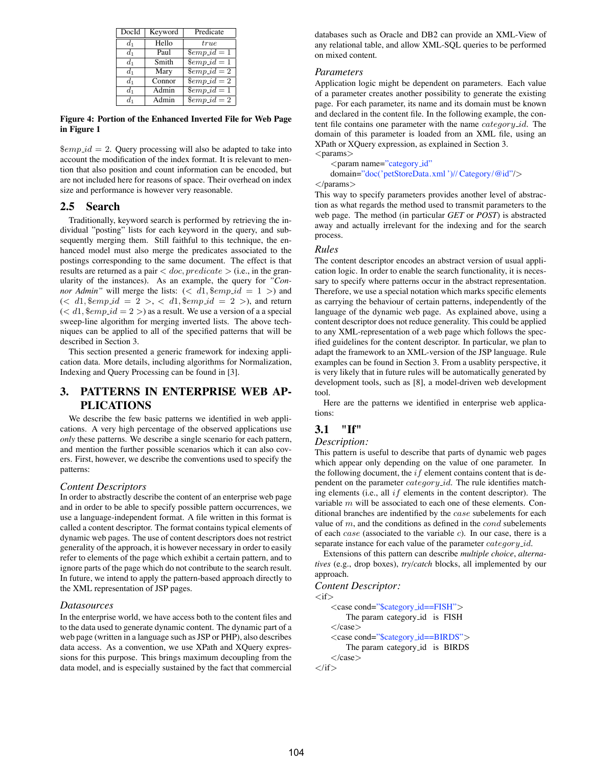| DocId   | Keyword | Predicate                       |
|---------|---------|---------------------------------|
| $d_1$   | Hello   | true                            |
| $d_1$   | Paul    | $\text{\textsterling}\exp_id=1$ |
| $d_1$   | Smith   | $\text{\textsterling}\exp_id=1$ |
| $d_1$   | Mary    | $\text{\textsterling}\exp_id=2$ |
| $d_1$   | Connor  | $\text{\textsterling}\exp_id=2$ |
| $d_1$   | Admin   | $\text{\textsterling}\exp_id=1$ |
| $d_{1}$ | Admin   | $\overline{\$emp_id=2$}$        |

**Figure 4: Portion of the Enhanced Inverted File for Web Page in Figure 1**

 $\text{\$emp_id = 2$.}$  Query processing will also be adapted to take into account the modification of the index format. It is relevant to mention that also position and count information can be encoded, but are not included here for reasons of space. Their overhead on index size and performance is however very reasonable.

## **2.5 Search**

Traditionally, keyword search is performed by retrieving the individual "posting" lists for each keyword in the query, and subsequently merging them. Still faithful to this technique, the enhanced model must also merge the predicates associated to the postings corresponding to the same document. The effect is that results are returned as a pair *< doc, predicate >* (i.e., in the granularity of the instances). As an example, the query for *"Connor Admin*" will merge the lists:  $\left(\langle d_1, \text{lim } p \cdot id \right) = 1$  > and  $( $d1$ ,  $\$emp_id = 2 > ,  $d1$ ,  $\$emp_id = 2 > ,$  and return$$  $( $d_1$ , *6emp_id* = 2) as a result. We use a version of a special$ sweep-line algorithm for merging inverted lists. The above techniques can be applied to all of the specified patterns that will be described in Section 3.

This section presented a generic framework for indexing application data. More details, including algorithms for Normalization, Indexing and Query Processing can be found in [3].

# **3. PATTERNS IN ENTERPRISE WEB AP-PLICATIONS**

We describe the few basic patterns we identified in web applications. A very high percentage of the observed applications use *only* these patterns. We describe a single scenario for each pattern, and mention the further possible scenarios which it can also covers. First, however, we describe the conventions used to specify the patterns:

### *Content Descriptors*

In order to abstractly describe the content of an enterprise web page and in order to be able to specify possible pattern occurrences, we use a language-independent format. A file written in this format is called a content descriptor. The format contains typical elements of dynamic web pages. The use of content descriptors does not restrict generality of the approach, it is however necessary in order to easily refer to elements of the page which exhibit a certain pattern, and to ignore parts of the page which do not contribute to the search result. In future, we intend to apply the pattern-based approach directly to the XML representation of JSP pages.

### *Datasources*

In the enterprise world, we have access both to the content files and to the data used to generate dynamic content. The dynamic part of a web page (written in a language such as JSP or PHP), also describes data access. As a convention, we use XPath and XQuery expressions for this purpose. This brings maximum decoupling from the data model, and is especially sustained by the fact that commercial databases such as Oracle and DB2 can provide an XML-View of any relational table, and allow XML-SQL queries to be performed on mixed content.

### *Parameters*

Application logic might be dependent on parameters. Each value of a parameter creates another possibility to generate the existing page. For each parameter, its name and its domain must be known and declared in the content file. In the following example, the content file contains one parameter with the name *category id*. The domain of this parameter is loaded from an XML file, using an XPath or XQuery expression, as explained in Section 3. *<*params*>*

*<*param name="category id"

domain="doc('petStoreData.xml ')// Category/@id"/*> <*/params*>*

This way to specify parameters provides another level of abstraction as what regards the method used to transmit parameters to the web page. The method (in particular *GET* or *POST*) is abstracted away and actually irrelevant for the indexing and for the search process.

### *Rules*

The content descriptor encodes an abstract version of usual application logic. In order to enable the search functionality, it is necessary to specify where patterns occur in the abstract representation. Therefore, we use a special notation which marks specific elements as carrying the behaviour of certain patterns, independently of the language of the dynamic web page. As explained above, using a content descriptor does not reduce generality. This could be applied to any XML-representation of a web page which follows the specified guidelines for the content descriptor. In particular, we plan to adapt the framework to an XML-version of the JSP language. Rule examples can be found in Section 3. From a usablity perspective, it is very likely that in future rules will be automatically generated by development tools, such as [8], a model-driven web development tool.

Here are the patterns we identified in enterprise web applications:

# **3.1 "If"**

### *Description:*

This pattern is useful to describe that parts of dynamic web pages which appear only depending on the value of one parameter. In the following document, the *if* element contains content that is dependent on the parameter *category id*. The rule identifies matching elements (i.e., all *if* elements in the content descriptor). The variable *m* will be associated to each one of these elements. Conditional branches are indentified by the *case* subelements for each value of *m*, and the conditions as defined in the *cond* subelements of each *case* (associated to the variable *c*). In our case, there is a separate instance for each value of the parameter *category id*.

Extensions of this pattern can describe *multiple choice*, *alternatives* (e.g., drop boxes), *try/catch* blocks, all implemented by our approach.

### *Content Descriptor:*

*<*if*>*

```
<case cond="$category id==FISH">
       The param category id is FISH
   </case>
   <case cond="$category id==BIRDS">
       The param category id is BIRDS
   </case>
</if>
```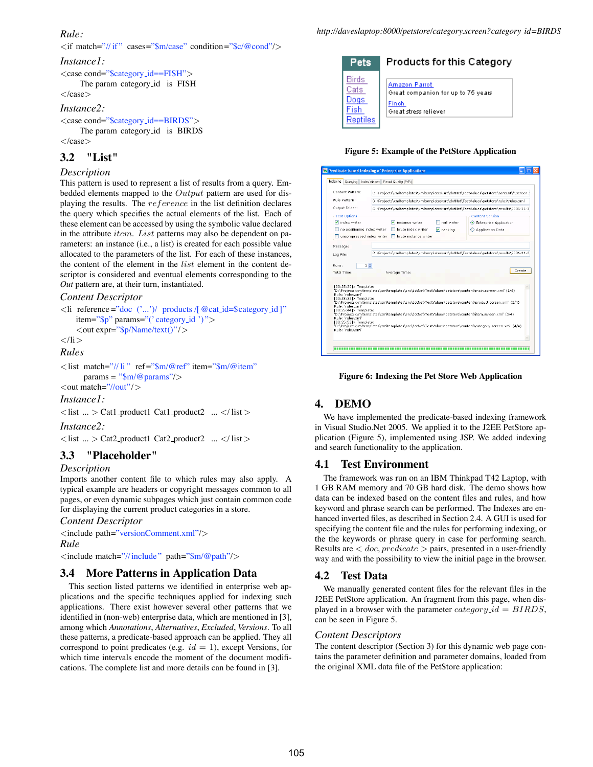# *Rule:*

*<*if match="// if " cases="\$m/case" condition="\$c/@cond"/*>*

#### *Instance1:*

*<*case cond="\$category id==FISH"*>* The param category id is FISH *<*/case*>*

# *Instance2:*

*<*case cond="\$category id==BIRDS"*>* The param category id is BIRDS *<*/case*>*

## **3.2 "List"**

#### *Description*

This pattern is used to represent a list of results from a query. Embedded elements mapped to the *Output* pattern are used for displaying the results. The *reference* in the list definition declares the query which specifies the actual elements of the list. Each of these element can be accessed by using the symbolic value declared in the attribute *item*. *List* patterns may also be dependent on parameters: an instance (i.e., a list) is created for each possible value allocated to the parameters of the list. For each of these instances, the content of the element in the *list* element in the content descriptor is considered and eventual elements corresponding to the *Out* pattern are, at their turn, instantiated.

### *Content Descriptor*

```
<li reference ="doc ('...')/ products /[@cat id=$category id ]"
   item="$p" params="(' category id ') ">
    <out expr="$p/Name/text()"/>
</li>
```
*Rules*

```
<list match="// li " ref="$m/@ref" item="$m/@item"
     params = "$m/@params"/>
<out match="//out"/>
```
*Instance1:*

*<*list ... *>* Cat1 product1 Cat1 product2 ... *<*/ list *>*

### *Instance2:*

*<*list ... *>* Cat2 product1 Cat2 product2 ... *<*/ list *>*

# **3.3 "Placeholder"**

#### *Description*

Imports another content file to which rules may also apply. A typical example are headers or copyright messages common to all pages, or even dynamic subpages which just contain common code for displaying the current product categories in a store.

*Content Descriptor*

*<*include path="versionComment.xml"/*> Rule <*include match="//include" path="\$m/@path"/*>*

### **3.4 More Patterns in Application Data**

This section listed patterns we identified in enterprise web applications and the specific techniques applied for indexing such applications. There exist however several other patterns that we identified in (non-web) enterprise data, which are mentioned in [3], among which *Annotations*, *Alternatives*, *Excluded*, *Versions*. To all these patterns, a predicate-based approach can be applied. They all correspond to point predicates (e.g.  $id = 1$ ), except Versions, for which time intervals encode the moment of the document modifications. The complete list and more details can be found in [3].

| <b>Pets</b>                               | Products for this Category                                                            |
|-------------------------------------------|---------------------------------------------------------------------------------------|
| Birds<br>Cats<br>Dogs<br>Fish<br>Reptiles | Amazon Parrot<br>Great companion for up to 75 years<br>Finch<br>Great stress reliever |

#### **Figure 5: Example of the PetStore Application**

|                             | Querving Index Viewer<br>Result Quality (P/R)                                           |                               |
|-----------------------------|-----------------------------------------------------------------------------------------|-------------------------------|
| Content Pattern:            | D:\Projects\xmltemplates\xmltemplates\src\dotNet\TestValues\petstore\content\*.screen.: |                               |
| Rule Pattern:               | D:\Projects\xmltemplates\xmltemplates\src\dotNet\TestValues\petstore\rules\rules.xml    |                               |
| Output Folder:              | D:\Projects\xmitemplates\xmitemplates\src\dotNet\TestValues\petstore\results\2006-11-3  |                               |
| <b>Test Options</b>         |                                                                                         | <b>Content Version</b>        |
| o index writer              | V instance writer<br>null writer.                                                       | <b>Enterprise Application</b> |
| no positioning index writer | brute index writer<br>$\nabla$ ranking                                                  | Application Data              |
|                             | uncompressed index writer □ brute instance writer                                       |                               |
| Log File:                   | D:\Proiects\xmltemplates\xmltemplates\src\dotNet\TestValues\petstore\results\2006-11-2  |                               |
| Runs:<br>Total Time:        | $1 \div$<br>Average Time:                                                               | Create                        |

#### **Figure 6: Indexing the Pet Store Web Application**

### **4. DEMO**

We have implemented the predicate-based indexing framework in Visual Studio.Net 2005. We applied it to the J2EE PetStore application (Figure 5), implemented using JSP. We added indexing and search functionality to the application.

#### **4.1 Test Environment**

The framework was run on an IBM Thinkpad T42 Laptop, with 1 GB RAM memory and 70 GB hard disk. The demo shows how data can be indexed based on the content files and rules, and how keyword and phrase search can be performed. The Indexes are enhanced inverted files, as described in Section 2.4. A GUI is used for specifying the content file and the rules for performing indexing, or the the keywords or phrase query in case for performing search. Results are *< doc, predicate >* pairs, presented in a user-friendly way and with the possibility to view the initial page in the browser.

### **4.2 Test Data**

We manually generated content files for the relevant files in the J2EE PetStore application. An fragment from this page, when displayed in a browser with the parameter *category id* = *BIRDS*, can be seen in Figure 5.

#### *Content Descriptors*

The content descriptor (Section 3) for this dynamic web page contains the parameter definition and parameter domains, loaded from the original XML data file of the PetStore application: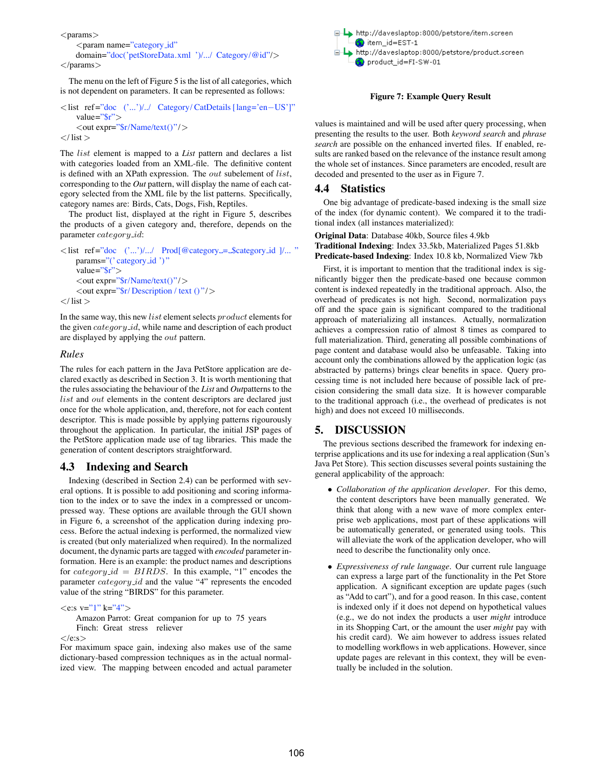*<*params*>*

#### *<*param name="category id" domain="doc('petStoreData.xml ')/.../ Category/@id"/*> <*/params*>*

The menu on the left of Figure 5 is the list of all categories, which is not dependent on parameters. It can be represented as follows:

#### *<*list ref="doc ('...')/../ Category/ CatDetails [lang='en−US']" value="\$r"*> <*out expr="\$r/Name/text()"/*> <*/ list *>*

The *list* element is mapped to a *List* pattern and declares a list with categories loaded from an XML-file. The definitive content is defined with an XPath expression. The *out* subelement of *list*, corresponding to the *Out* pattern, will display the name of each category selected from the XML file by the list patterns. Specifically, category names are: Birds, Cats, Dogs, Fish, Reptiles.

The product list, displayed at the right in Figure 5, describes the products of a given category and, therefore, depends on the parameter *category id*:

```
<list ref="doc ('...')/.../ Prod[@category = $category id ]/... "
    params="(' category_id ')"
    value="$r">
    <out expr="$r/Name/text()"/>
    <out expr="$r/ Description / text () "/>
</ list >
```
In the same way, this new *list* element selects *product* elements for the given *category id*, while name and description of each product are displayed by applying the *out* pattern.

## *Rules*

The rules for each pattern in the Java PetStore application are declared exactly as described in Section 3. It is worth mentioning that the rules associating the behaviour of the *List* and *Out*patterns to the *list* and *out* elements in the content descriptors are declared just once for the whole application, and, therefore, not for each content descriptor. This is made possible by applying patterns rigourously throughout the application. In particular, the initial JSP pages of the PetStore application made use of tag libraries. This made the generation of content descriptors straightforward.

# **4.3 Indexing and Search**

Indexing (described in Section 2.4) can be performed with several options. It is possible to add positioning and scoring information to the index or to save the index in a compressed or uncompressed way. These options are available through the GUI shown in Figure 6, a screenshot of the application during indexing process. Before the actual indexing is performed, the normalized view is created (but only materialized when required). In the normalized document, the dynamic parts are tagged with *encoded* parameter information. Here is an example: the product names and descriptions for *category id* = *BIRDS*. In this example, "1" encodes the parameter *category id* and the value "4" represents the encoded value of the string "BIRDS" for this parameter.

*<*e:s v="1" k="4"*>*

Amazon Parrot: Great companion for up to 75 years Finch: Great stress reliever

#### *<*/e:s*>*

For maximum space gain, indexing also makes use of the same dictionary-based compression techniques as in the actual normalized view. The mapping between encoded and actual parameter



#### **Figure 7: Example Query Result**

values is maintained and will be used after query processing, when presenting the results to the user. Both *keyword search* and *phrase search* are possible on the enhanced inverted files. If enabled, results are ranked based on the relevance of the instance result among the whole set of instances. Since parameters are encoded, result are decoded and presented to the user as in Figure 7.

# **4.4 Statistics**

One big advantage of predicate-based indexing is the small size of the index (for dynamic content). We compared it to the traditional index (all instances materialized):

**Original Data**: Database 40kb, Source files 4.9kb **Traditional Indexing**: Index 33.5kb, Materialized Pages 51.8kb **Predicate-based Indexing**: Index 10.8 kb, Normalized View 7kb

First, it is important to mention that the traditional index is significantly bigger then the predicate-based one because common content is indexed repeatedly in the traditional approach. Also, the overhead of predicates is not high. Second, normalization pays off and the space gain is significant compared to the traditional approach of materializing all instances. Actually, normalization achieves a compression ratio of almost 8 times as compared to full materialization. Third, generating all possible combinations of page content and database would also be unfeasable. Taking into account only the combinations allowed by the application logic (as abstracted by patterns) brings clear benefits in space. Query processing time is not included here because of possible lack of precision considering the small data size. It is however comparable to the traditional approach (i.e., the overhead of predicates is not high) and does not exceed 10 milliseconds.

# **5. DISCUSSION**

The previous sections described the framework for indexing enterprise applications and its use for indexing a real application (Sun's Java Pet Store). This section discusses several points sustaining the general applicability of the approach:

- *Collaboration of the application developer*. For this demo, the content descriptors have been manually generated. We think that along with a new wave of more complex enterprise web applications, most part of these applications will be automatically generated, or generated using tools. This will alleviate the work of the application developer, who will need to describe the functionality only once.
- *Expressiveness of rule language*. Our current rule language can express a large part of the functionality in the Pet Store application. A significant exception are update pages (such as "Add to cart"), and for a good reason. In this case, content is indexed only if it does not depend on hypothetical values (e.g., we do not index the products a user *might* introduce in its Shopping Cart, or the amount the user *might* pay with his credit card). We aim however to address issues related to modelling workflows in web applications. However, since update pages are relevant in this context, they will be eventually be included in the solution.